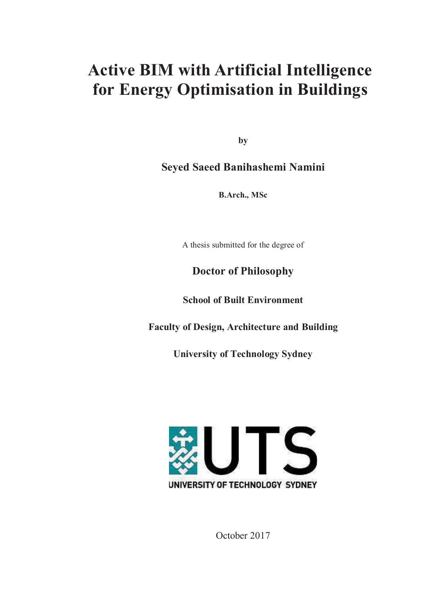# **Active BIM with Artificial Intelligence for Energy Optimisation in Buildings**

**by**

**Seyed Saeed Banihashemi Namini**

**B.Arch., MSc**

A thesis submitted for the degree of

**Doctor of Philosophy**

**School of Built Environment**

**Faculty of Design, Architecture and Building**

**University of Technology Sydney**



October 2017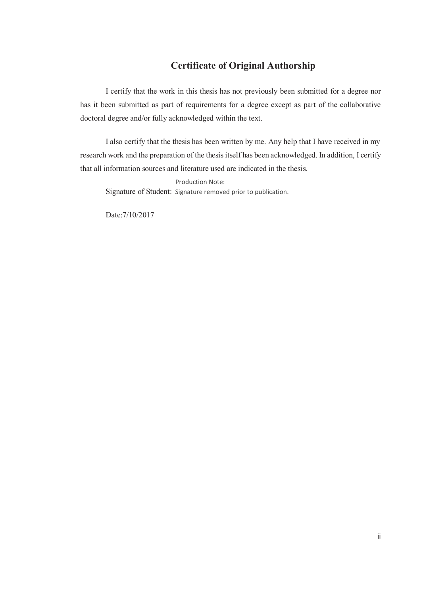### **Certificate of Original Authorship**

I certify that the work in this thesis has not previously been submitted for a degree nor has it been submitted as part of requirements for a degree except as part of the collaborative doctoral degree and/or fully acknowledged within the text.

I also certify that the thesis has been written by me. Any help that I have received in my research work and the preparation of the thesis itself has been acknowledged. In addition, I certify that all information sources and literature used are indicated in the thesis.

Signature of Student: Signature removed prior to publication. Production Note:

Date:7/10/2017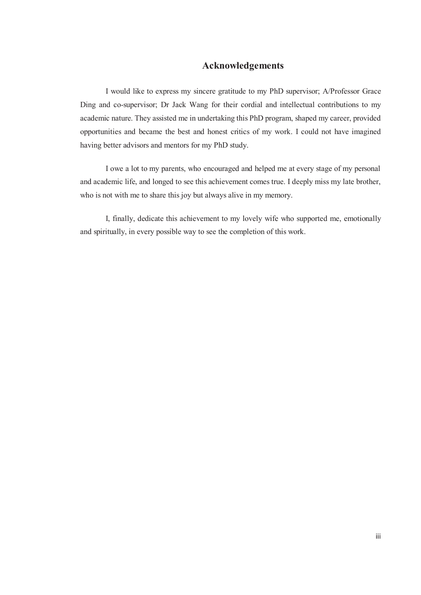### **Acknowledgements**

I would like to express my sincere gratitude to my PhD supervisor; A/Professor Grace Ding and co-supervisor; Dr Jack Wang for their cordial and intellectual contributions to my academic nature. They assisted me in undertaking this PhD program, shaped my career, provided opportunities and became the best and honest critics of my work. I could not have imagined having better advisors and mentors for my PhD study.

I owe a lot to my parents, who encouraged and helped me at every stage of my personal and academic life, and longed to see this achievement comes true. I deeply miss my late brother, who is not with me to share this joy but always alive in my memory.

I, finally, dedicate this achievement to my lovely wife who supported me, emotionally and spiritually, in every possible way to see the completion of this work.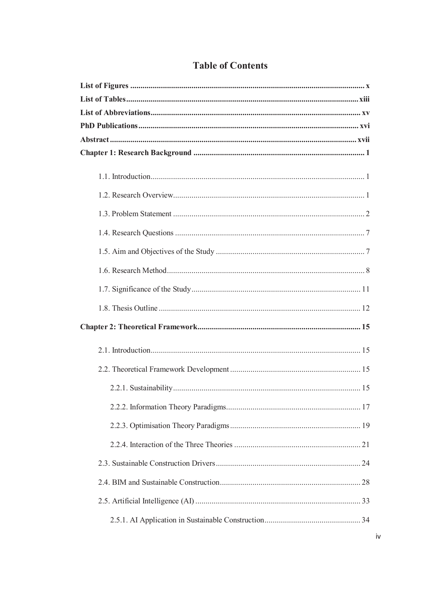## **Table of Contents**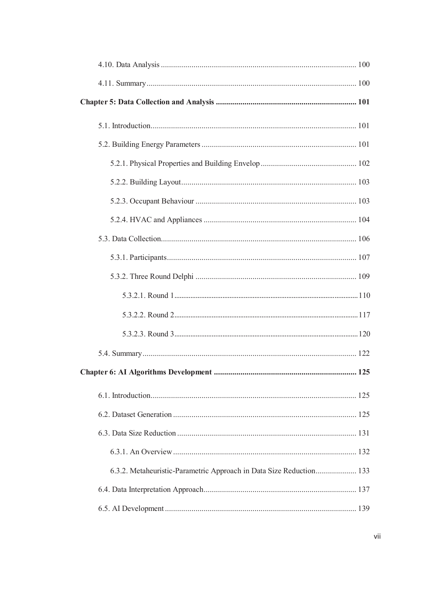| 6.3.2. Metaheuristic-Parametric Approach in Data Size Reduction 133 |  |
|---------------------------------------------------------------------|--|
|                                                                     |  |
|                                                                     |  |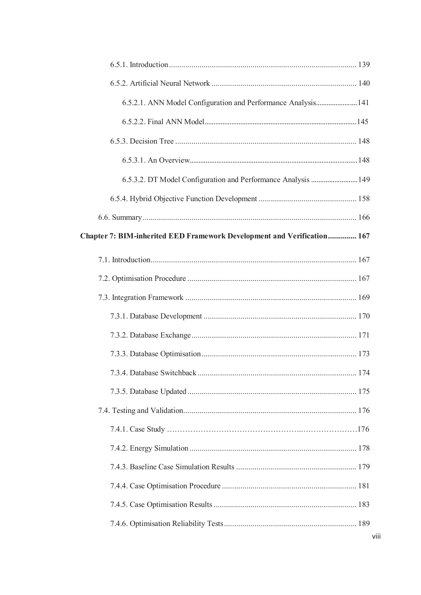| 6.5.2.1. ANN Model Configuration and Performance Analysis141            |  |
|-------------------------------------------------------------------------|--|
|                                                                         |  |
|                                                                         |  |
|                                                                         |  |
| 6.5.3.2. DT Model Configuration and Performance Analysis  149           |  |
|                                                                         |  |
|                                                                         |  |
| Chapter 7: BIM-inherited EED Framework Development and Verification 167 |  |
|                                                                         |  |
|                                                                         |  |
|                                                                         |  |
|                                                                         |  |
|                                                                         |  |
|                                                                         |  |
|                                                                         |  |
|                                                                         |  |
|                                                                         |  |
|                                                                         |  |
|                                                                         |  |
|                                                                         |  |
|                                                                         |  |
|                                                                         |  |
|                                                                         |  |
|                                                                         |  |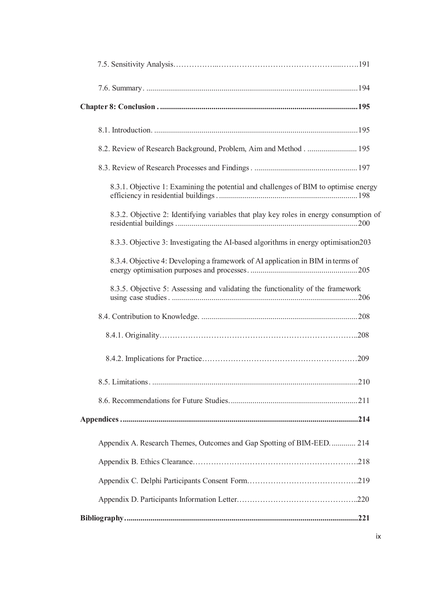| 8.3.1. Objective 1: Examining the potential and challenges of BIM to optimise energy   |
|----------------------------------------------------------------------------------------|
| 8.3.2. Objective 2: Identifying variables that play key roles in energy consumption of |
| 8.3.3. Objective 3: Investigating the AI-based algorithms in energy optimisation 203   |
| 8.3.4. Objective 4: Developing a framework of AI application in BIM in terms of        |
| 8.3.5. Objective 5: Assessing and validating the functionality of the framework        |
|                                                                                        |
|                                                                                        |
|                                                                                        |
|                                                                                        |
|                                                                                        |
|                                                                                        |
| Appendix A. Research Themes, Outcomes and Gap Spotting of BIM-EED 214                  |
|                                                                                        |
|                                                                                        |
|                                                                                        |
|                                                                                        |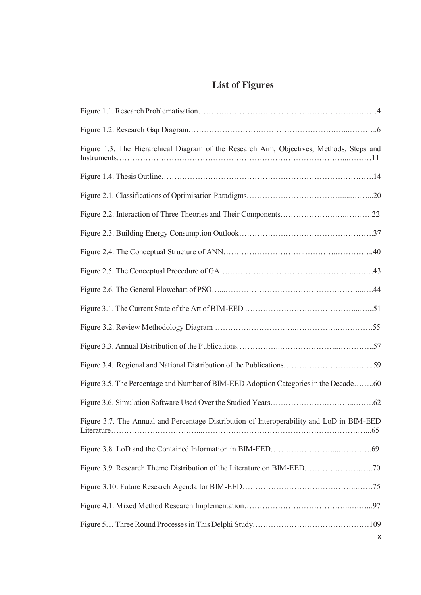# **List of Figures**

| Figure 1.3. The Hierarchical Diagram of the Research Aim, Objectives, Methods, Steps and  |
|-------------------------------------------------------------------------------------------|
|                                                                                           |
|                                                                                           |
|                                                                                           |
|                                                                                           |
|                                                                                           |
|                                                                                           |
|                                                                                           |
|                                                                                           |
|                                                                                           |
|                                                                                           |
|                                                                                           |
| Figure 3.5. The Percentage and Number of BIM-EED Adoption Categories in the Decade60      |
|                                                                                           |
| Figure 3.7. The Annual and Percentage Distribution of Interoperability and LoD in BIM-EED |
|                                                                                           |
|                                                                                           |
|                                                                                           |
|                                                                                           |
|                                                                                           |
| x                                                                                         |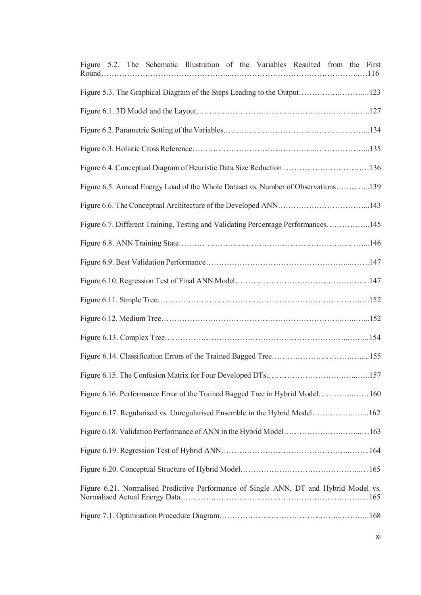| Figure 5.2. The Schematic Illustration of the Variables Resulted from the First       |  |
|---------------------------------------------------------------------------------------|--|
|                                                                                       |  |
|                                                                                       |  |
|                                                                                       |  |
|                                                                                       |  |
|                                                                                       |  |
| Figure 6.5. Annual Energy Load of the Whole Dataset vs. Number of Observations139     |  |
|                                                                                       |  |
| Figure 6.7. Different Training, Testing and Validating Percentage Performances145     |  |
|                                                                                       |  |
|                                                                                       |  |
|                                                                                       |  |
|                                                                                       |  |
|                                                                                       |  |
|                                                                                       |  |
|                                                                                       |  |
|                                                                                       |  |
| Figure 6.16. Performance Error of the Trained Bagged Tree in Hybrid Model 160         |  |
| Figure 6.17. Regularised vs. Unregularised Ensemble in the Hybrid Model162            |  |
|                                                                                       |  |
|                                                                                       |  |
|                                                                                       |  |
| Figure 6.21. Normalised Predictive Performance of Single ANN, DT and Hybrid Model vs. |  |
|                                                                                       |  |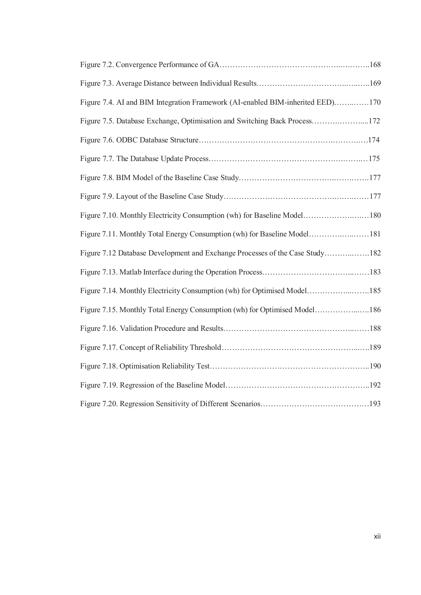| Figure 7.4. AI and BIM Integration Framework (AI-enabled BIM-inherited EED)170 |  |
|--------------------------------------------------------------------------------|--|
| Figure 7.5. Database Exchange, Optimisation and Switching Back Process172      |  |
|                                                                                |  |
|                                                                                |  |
|                                                                                |  |
|                                                                                |  |
|                                                                                |  |
| Figure 7.11. Monthly Total Energy Consumption (wh) for Baseline Model181       |  |
| Figure 7.12 Database Development and Exchange Processes of the Case Study182   |  |
|                                                                                |  |
| Figure 7.14. Monthly Electricity Consumption (wh) for Optimised Model185       |  |
| Figure 7.15. Monthly Total Energy Consumption (wh) for Optimised Model186      |  |
|                                                                                |  |
|                                                                                |  |
|                                                                                |  |
|                                                                                |  |
|                                                                                |  |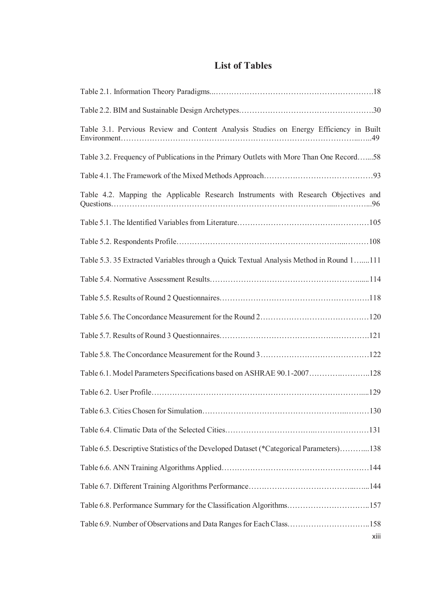## **List of Tables**

| Table 3.1. Pervious Review and Content Analysis Studies on Energy Efficiency in Built   |
|-----------------------------------------------------------------------------------------|
| Table 3.2. Frequency of Publications in the Primary Outlets with More Than One Record58 |
|                                                                                         |
| Table 4.2. Mapping the Applicable Research Instruments with Research Objectives and     |
|                                                                                         |
|                                                                                         |
| Table 5.3. 35 Extracted Variables through a Quick Textual Analysis Method in Round 1111 |
|                                                                                         |
|                                                                                         |
|                                                                                         |
|                                                                                         |
|                                                                                         |
| Table 6.1. Model Parameters Specifications based on ASHRAE 90.1-2007128                 |
|                                                                                         |
|                                                                                         |
|                                                                                         |
| Table 6.5. Descriptive Statistics of the Developed Dataset (*Categorical Parameters)138 |
|                                                                                         |
|                                                                                         |
| Table 6.8. Performance Summary for the Classification Algorithms157                     |
| xiii                                                                                    |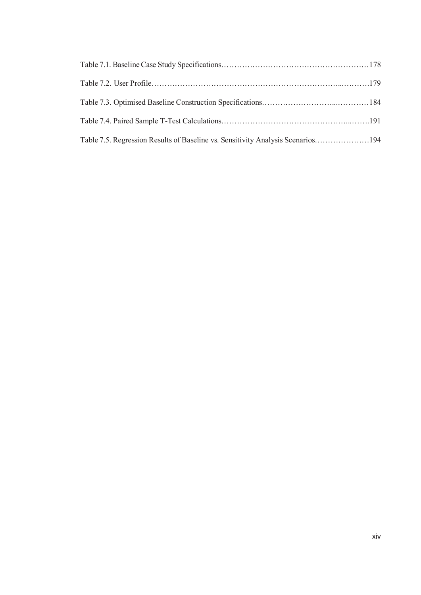| Table 7.5. Regression Results of Baseline vs. Sensitivity Analysis Scenarios194 |  |
|---------------------------------------------------------------------------------|--|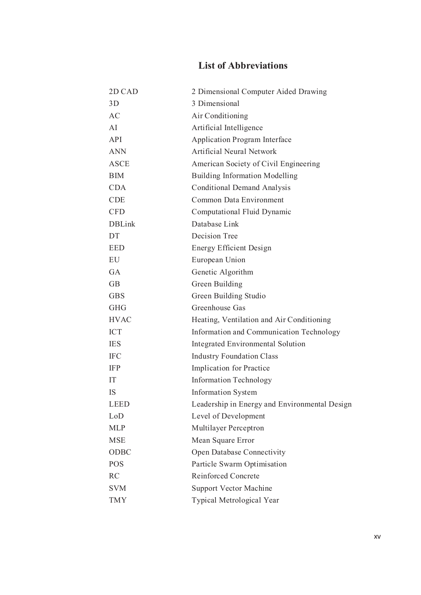# **List of Abbreviations**

| 2D CAD        | 2 Dimensional Computer Aided Drawing          |
|---------------|-----------------------------------------------|
| 3D            | 3 Dimensional                                 |
| AC            | Air Conditioning                              |
| AI            | Artificial Intelligence                       |
| <b>API</b>    | Application Program Interface                 |
| <b>ANN</b>    | <b>Artificial Neural Network</b>              |
| <b>ASCE</b>   | American Society of Civil Engineering         |
| <b>BIM</b>    | <b>Building Information Modelling</b>         |
| <b>CDA</b>    | <b>Conditional Demand Analysis</b>            |
| <b>CDE</b>    | Common Data Environment                       |
| <b>CFD</b>    | Computational Fluid Dynamic                   |
| <b>DBLink</b> | Database Link                                 |
| DT            | Decision Tree                                 |
| EED           | <b>Energy Efficient Design</b>                |
| EU            | European Union                                |
| <b>GA</b>     | Genetic Algorithm                             |
| <b>GB</b>     | Green Building                                |
| <b>GBS</b>    | Green Building Studio                         |
| <b>GHG</b>    | Greenhouse Gas                                |
| <b>HVAC</b>   | Heating, Ventilation and Air Conditioning     |
| <b>ICT</b>    | Information and Communication Technology      |
| <b>IES</b>    | Integrated Environmental Solution             |
| <b>IFC</b>    | <b>Industry Foundation Class</b>              |
| <b>IFP</b>    | Implication for Practice                      |
| IT            | <b>Information Technology</b>                 |
| IS            | <b>Information System</b>                     |
| <b>LEED</b>   | Leadership in Energy and Environmental Design |
| LoD           | Level of Development                          |
| <b>MLP</b>    | Multilayer Perceptron                         |
| <b>MSE</b>    | Mean Square Error                             |
| ODBC          | <b>Open Database Connectivity</b>             |
| <b>POS</b>    | Particle Swarm Optimisation                   |
| <b>RC</b>     | Reinforced Concrete                           |
| <b>SVM</b>    | <b>Support Vector Machine</b>                 |
| <b>TMY</b>    | Typical Metrological Year                     |
|               |                                               |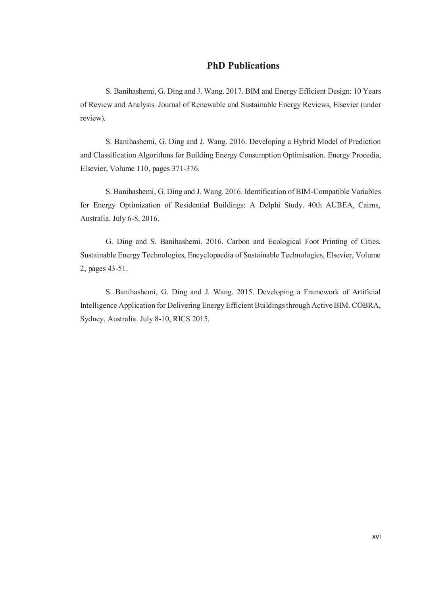### **PhD Publications**

S. Banihashemi, G. Ding and J. Wang. 2017. BIM and Energy Efficient Design: 10 Years of Review and Analysis. Journal of Renewable and Sustainable Energy Reviews, Elsevier (under review).

S. Banihashemi, G. Ding and J. Wang. 2016. Developing a Hybrid Model of Prediction and Classification Algorithms for Building Energy Consumption Optimisation. Energy Procedia, Elsevier, Volume 110, pages 371-376.

S. Banihashemi, G. Ding and J. Wang. 2016. Identification of BIM-Compatible Variables for Energy Optimization of Residential Buildings: A Delphi Study. 40th AUBEA, Cairns, Australia. July 6-8, 2016.

G. Ding and S. Banihashemi. 2016. Carbon and Ecological Foot Printing of Cities. Sustainable Energy Technologies, Encyclopaedia of Sustainable Technologies, Elsevier, Volume 2, pages 43-51.

S. Banihashemi, G. Ding and J. Wang. 2015. Developing a Framework of Artificial Intelligence Application for Delivering Energy Efficient Buildings through Active BIM. COBRA, Sydney, Australia. July 8-10, RICS 2015.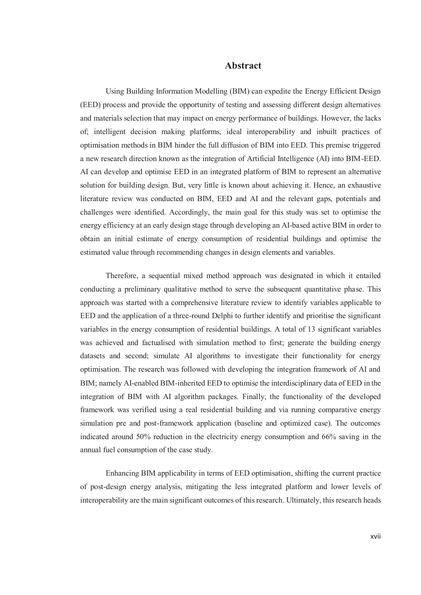### **Abstract**

Using Building Information Modelling (BIM) can expedite the Energy Efficient Design (EED) process and provide the opportunity of testing and assessing different design alternatives and materials selection that may impact on energy performance of buildings. However, the lacks of; intelligent decision making platforms, ideal interoperability and inbuilt practices of optimisation methods in BIM hinder the full diffusion of BIM into EED. This premise triggered a new research direction known as the integration of Artificial Intelligence (AI) into BIM-EED. AI can develop and optimise EED in an integrated platform of BIM to represent an alternative solution for building design. But, very little is known about achieving it. Hence, an exhaustive literature review was conducted on BIM, EED and AI and the relevant gaps, potentials and challenges were identified. Accordingly, the main goal for this study was set to optimise the energy efficiency at an early design stage through developing an AI-based active BIM in order to obtain an initial estimate of energy consumption of residential buildings and optimise the estimated value through recommending changes in design elements and variables.

Therefore, a sequential mixed method approach was designated in which it entailed conducting a preliminary qualitative method to serve the subsequent quantitative phase. This approach was started with a comprehensive literature review to identify variables applicable to EED and the application of a three-round Delphi to further identify and prioritise the significant variables in the energy consumption of residential buildings. A total of 13 significant variables was achieved and factualised with simulation method to first; generate the building energy datasets and second; simulate AI algorithms to investigate their functionality for energy optimisation. The research was followed with developing the integration framework of AI and BIM; namely AI-enabled BIM-inherited EED to optimise the interdisciplinary data of EED in the integration of BIM with AI algorithm packages. Finally, the functionality of the developed framework was verified using a real residential building and via running comparative energy simulation pre and post-framework application (baseline and optimized case). The outcomes indicated around 50% reduction in the electricity energy consumption and 66% saving in the annual fuel consumption of the case study.

Enhancing BIM applicability in terms of EED optimisation, shifting the current practice of post-design energy analysis, mitigating the less integrated platform and lower levels of interoperability are the main significant outcomes of this research. Ultimately, this research heads